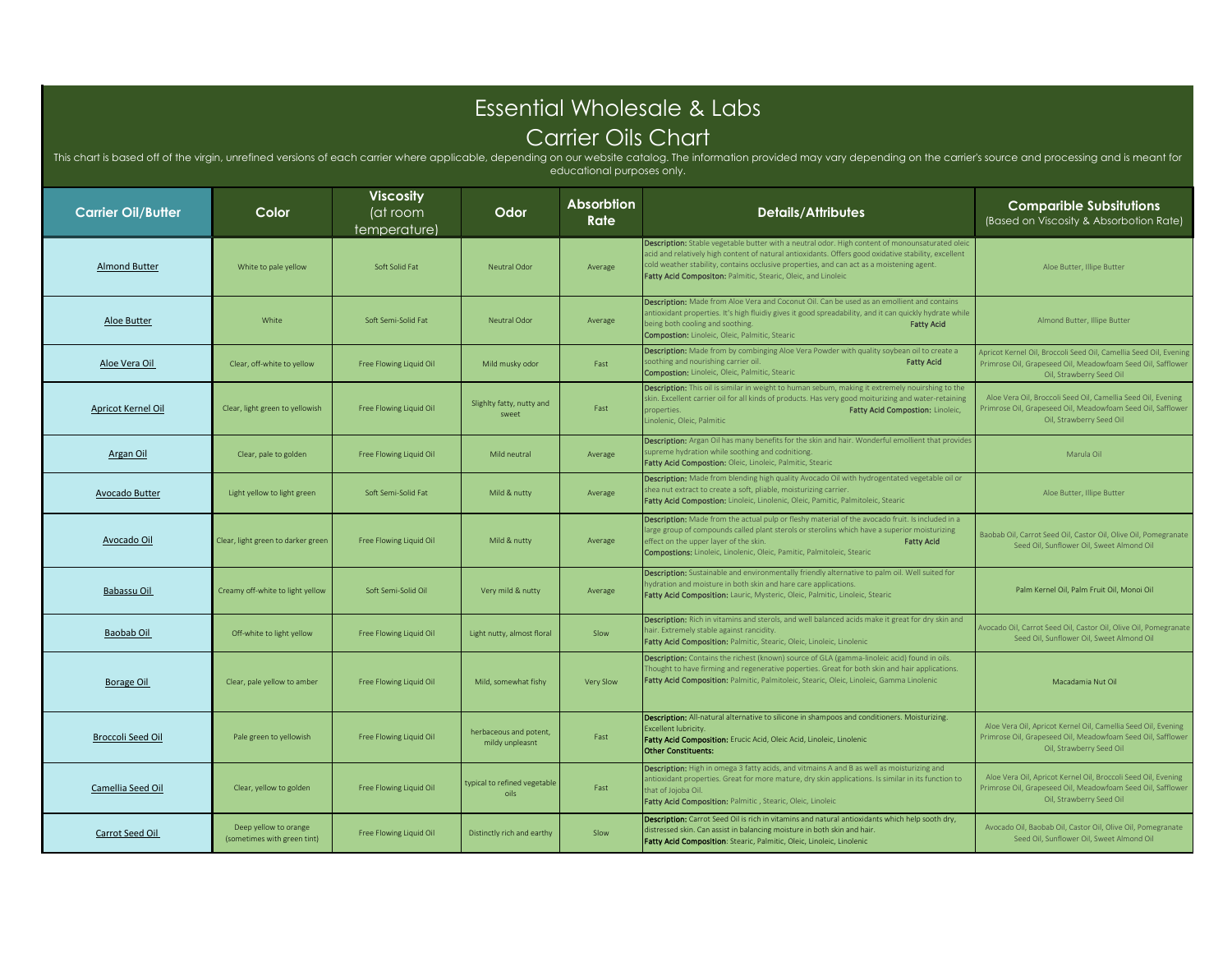## Essential Wholesale & Labs Carrier Oils Chart

This chart is based off of the virgin, unrefined versions of each carrier where applicable, depending on our website catalog. The information provided may vary depending on the carrier's source and processing and is meant educational purposes only.

| <b>Carrier Oil/Butter</b> | Color                                                | <b>Viscosity</b><br>(at room<br>temperature) | Odor                                      | Absorbtion<br>Rate | <b>Details/Attributes</b>                                                                                                                                                                                                                                                                                                                                             | <b>Comparible Subsitutions</b><br>(Based on Viscosity & Absorbotion Rate)                                                                                    |
|---------------------------|------------------------------------------------------|----------------------------------------------|-------------------------------------------|--------------------|-----------------------------------------------------------------------------------------------------------------------------------------------------------------------------------------------------------------------------------------------------------------------------------------------------------------------------------------------------------------------|--------------------------------------------------------------------------------------------------------------------------------------------------------------|
| <b>Almond Butter</b>      | White to pale yellow                                 | Soft Solid Fat                               | Neutral Odor                              | Average            | Description: Stable vegetable butter with a neutral odor. High content of monounsaturated oleic<br>acid and relatively high content of natural antioxidants. Offers good oxidative stability, excellent<br>cold weather stability, contains occlusive properties, and can act as a moistening agent.<br>Fatty Acid Compositon: Palmitic, Stearic, Oleic, and Linoleic | Aloe Butter, Illipe Butter                                                                                                                                   |
| Aloe Butter               | White                                                | Soft Semi-Solid Fat                          | <b>Neutral Odor</b>                       | Average            | Description: Made from Aloe Vera and Coconut Oil. Can be used as an emollient and contains<br>antioxidant properties. It's high fluidiy gives it good spreadability, and it can quickly hydrate while<br>being both cooling and soothing.<br><b>Fatty Acid</b><br><b>Compostion:</b> Linoleic, Oleic, Palmitic, Stearic                                               | Almond Butter, Illipe Butter                                                                                                                                 |
| Aloe Vera Oil             | Clear, off-white to yellow                           | Free Flowing Liquid Oil                      | Mild musky odor                           | Fast               | <b>Description:</b> Made from by combinging Aloe Vera Powder with quality soybean oil to create a<br>soothing and nourishing carrier oil.<br><b>Fatty Acid</b><br>Compostion: Linoleic, Oleic, Palmitic, Stearic                                                                                                                                                      | Apricot Kernel Oil, Broccoli Seed Oil, Camellia Seed Oil, Evening<br>Primrose Oil, Grapeseed Oil, Meadowfoam Seed Oil, Safflower<br>Oil, Strawberry Seed Oil |
| <b>Apricot Kernel Oil</b> | Clear, light green to yellowish                      | Free Flowing Liquid Oil                      | Slighlty fatty, nutty and<br>sweet        | Fast               | Description: This oil is similar in weight to human sebum, making it extremely nouirshing to the<br>skin. Excellent carrier oil for all kinds of products. Has very good moiturizing and water-retaining<br>Fatty Acid Compostion: Linoleic,<br>properties.<br>Linolenic, Oleic, Palmitic                                                                             | Aloe Vera Oil, Broccoli Seed Oil, Camellia Seed Oil, Evening<br>Primrose Oil, Grapeseed Oil, Meadowfoam Seed Oil, Safflower<br>Oil, Strawberry Seed Oil      |
| Argan Oil                 | Clear, pale to golden                                | Free Flowing Liquid Oil                      | Mild neutral                              | Average            | Description: Argan Oil has many benefits for the skin and hair. Wonderful emollient that provide<br>supreme hydration while soothing and codnitiong<br>Fatty Acid Compostion: Oleic, Linoleic, Palmitic, Stearic                                                                                                                                                      | Marula Oil                                                                                                                                                   |
| <b>Avocado Butter</b>     | Light yellow to light green                          | Soft Semi-Solid Fat                          | Mild & nutty                              | Average            | Description: Made from blending high quality Avocado Oil with hydrogentated vegetable oil or<br>shea nut extract to create a soft, pliable, moisturizing carrier.<br>Fatty Acid Compostion: Linoleic, Linolenic, Oleic, Pamitic, Palmitoleic, Stearic                                                                                                                 | Aloe Butter, Illipe Butter                                                                                                                                   |
| Avocado Oil               | Clear, light green to darker green                   | Free Flowing Liquid Oil                      | Mild & nutty                              | Average            | Description: Made from the actual pulp or fleshy material of the avocado fruit. Is included in a<br>large group of compounds called plant sterols or sterolins which have a superior moisturizing<br>effect on the upper layer of the skin.<br><b>Fatty Acid</b><br>Compostions: Linoleic, Linolenic, Oleic, Pamitic, Palmitoleic, Stearic                            | Baobab Oil, Carrot Seed Oil, Castor Oil, Olive Oil, Pomegranate<br>Seed Oil, Sunflower Oil, Sweet Almond Oil                                                 |
| Babassu Oil               | Creamy off-white to light yellow                     | Soft Semi-Solid Oil                          | Very mild & nutty                         | Average            | Description: Sustainable and environmentally friendly alternative to palm oil. Well suited for<br>hydration and moisture in both skin and hare care applications.<br>Fatty Acid Composition: Lauric, Mysteric, Oleic, Palmitic, Linoleic, Stearic                                                                                                                     | Palm Kernel Oil, Palm Fruit Oil, Monoi Oil                                                                                                                   |
| Baobab Oil                | Off-white to light yellow                            | Free Flowing Liquid Oil                      | Light nutty, almost floral                | Slow               | Description: Rich in vitamins and sterols, and well balanced acids make it great for dry skin and<br>hair. Extremely stable against rancidity.<br>Fatty Acid Composition: Palmitic, Stearic, Oleic, Linoleic, Linolenic                                                                                                                                               | Avocado Oil, Carrot Seed Oil, Castor Oil, Olive Oil, Pomegranate<br>Seed Oil, Sunflower Oil, Sweet Almond Oil                                                |
| <b>Borage Oil</b>         | Clear, pale yellow to amber                          | Free Flowing Liquid Oil                      | Mild, somewhat fishy                      | Very Slow          | Description: Contains the richest (known) source of GLA (gamma-linoleic acid) found in oils.<br>Thought to have firming and regenerative poperties. Great for both skin and hair applications.<br>Fatty Acid Composition: Palmitic, Palmitoleic, Stearic, Oleic, Linoleic, Gamma Linolenic                                                                            | Macadamia Nut Oil                                                                                                                                            |
| <b>Broccoli Seed Oil</b>  | Pale green to yellowish                              | Free Flowing Liquid Oil                      | herbaceous and potent,<br>mildy unpleasnt | Fast               | <b>Description:</b> All-natural alternative to silicone in shampoos and conditioners. Moisturizing.<br>Excellent lubricity.<br>Fatty Acid Composition: Erucic Acid, Oleic Acid, Linoleic, Linolenic<br><b>Other Constituents:</b>                                                                                                                                     | Aloe Vera Oil, Apricot Kernel Oil, Camellia Seed Oil, Evening<br>Primrose Oil, Grapeseed Oil, Meadowfoam Seed Oil, Safflower<br>Oil, Strawberry Seed Oil     |
| Camellia Seed Oil         | Clear, yellow to golden                              | Free Flowing Liquid Oil                      | typical to refined vegetable<br>oils      | Fast               | <b>Description:</b> High in omega 3 fatty acids, and vitmains A and B as well as moisturizing and<br>antioxidant properties. Great for more mature, dry skin applications. Is similar in its function to<br>that of Jojoba Oil.<br>Fatty Acid Composition: Palmitic, Stearic, Oleic, Linoleic                                                                         | Aloe Vera Oil, Apricot Kernel Oil, Broccoli Seed Oil, Evening<br>Primrose Oil, Grapeseed Oil, Meadowfoam Seed Oil, Safflower<br>Oil, Strawberry Seed Oil     |
| Carrot Seed Oil           | Deep yellow to orange<br>(sometimes with green tint) | Free Flowing Liquid Oil                      | Distinctly rich and earthy                | Slow               | <b>Description:</b> Carrot Seed Oil is rich in vitamins and natural antioxidants which help sooth dry,<br>distressed skin. Can assist in balancing moisture in both skin and hair.<br><b>Fatty Acid Composition:</b> Stearic, Palmitic, Oleic, Linoleic, Linolenic                                                                                                    | Avocado Oil, Baobab Oil, Castor Oil, Olive Oil, Pomegranate<br>Seed Oil, Sunflower Oil, Sweet Almond Oil                                                     |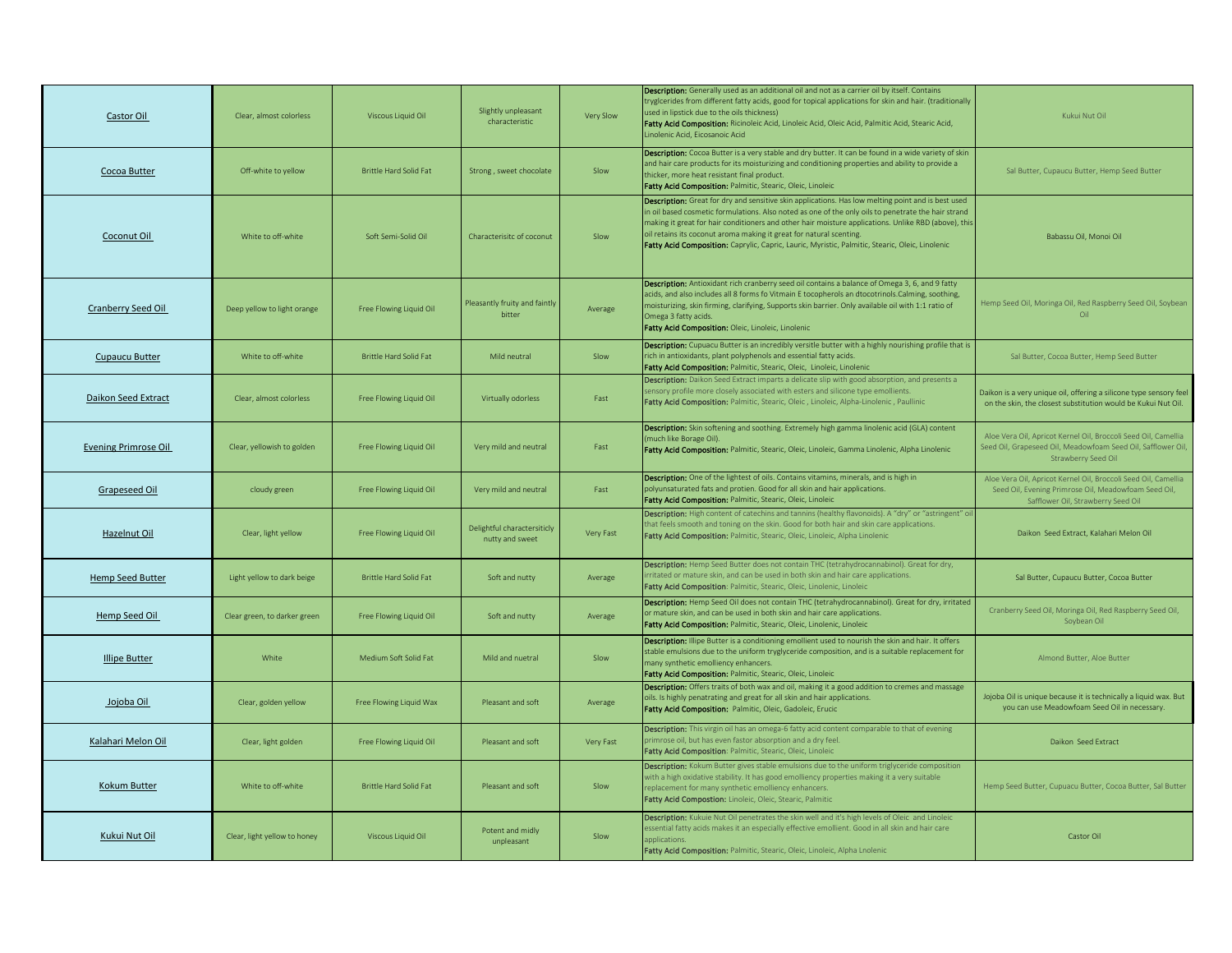| Castor Oil                  | Clear, almost colorless      | Viscous Liquid Oil            | Slightly unpleasant<br>characteristic          | Very Slow | Description: Generally used as an additional oil and not as a carrier oil by itself. Contains<br>tryglcerides from different fatty acids, good for topical applications for skin and hair. (traditionally<br>used in lipstick due to the oils thickness)<br>Fatty Acid Composition: Ricinoleic Acid, Linoleic Acid, Oleic Acid, Palmitic Acid, Stearic Acid,<br>inolenic Acid, Eicosanoic Acid                                                                                             | Kukui Nut Oil                                                                                                                                                |
|-----------------------------|------------------------------|-------------------------------|------------------------------------------------|-----------|--------------------------------------------------------------------------------------------------------------------------------------------------------------------------------------------------------------------------------------------------------------------------------------------------------------------------------------------------------------------------------------------------------------------------------------------------------------------------------------------|--------------------------------------------------------------------------------------------------------------------------------------------------------------|
| Cocoa Butter                | Off-white to yellow          | <b>Brittle Hard Solid Fat</b> | Strong, sweet chocolate                        | Slow      | Description: Cocoa Butter is a very stable and dry butter. It can be found in a wide variety of skin<br>and hair care products for its moisturizing and conditioning properties and ability to provide a<br>thicker, more heat resistant final product.<br>Fatty Acid Composition: Palmitic, Stearic, Oleic, Linoleic                                                                                                                                                                      | Sal Butter, Cupaucu Butter, Hemp Seed Butter                                                                                                                 |
| Coconut Oil                 | White to off-white           | Soft Semi-Solid Oil           | Characterisitc of coconut                      | Slow      | Description: Great for dry and sensitive skin applications. Has low melting point and is best used<br>n oil based cosmetic formulations. Also noted as one of the only oils to penetrate the hair strand<br>making it great for hair conditioners and other hair moisture applications. Unlike RBD (above), this<br>oil retains its coconut aroma making it great for natural scenting.<br>Fatty Acid Composition: Caprylic, Capric, Lauric, Myristic, Palmitic, Stearic, Oleic, Linolenic | Babassu Oil, Monoi Oil                                                                                                                                       |
| Cranberry Seed Oil          | Deep yellow to light orange  | Free Flowing Liquid Oil       | Pleasantly fruity and faintly<br>bitter        | Average   | Description: Antioxidant rich cranberry seed oil contains a balance of Omega 3, 6, and 9 fatty<br>acids, and also includes all 8 forms fo Vitmain E tocopherols an dtocotrinols.Calming, soothing,<br>moisturizing, skin firming, clarifying, Supports skin barrier. Only available oil with 1:1 ratio of<br>Omega 3 fatty acids.<br>Fatty Acid Composition: Oleic, Linoleic, Linolenic                                                                                                    | Hemp Seed Oil, Moringa Oil, Red Raspberry Seed Oil, Soybean<br>Oil                                                                                           |
| <b>Cupaucu Butter</b>       | White to off-white           | Brittle Hard Solid Fat        | Mild neutral                                   | Slow      | Description: Cupuacu Butter is an incredibly versitle butter with a highly nourishing profile that is<br>ich in antioxidants, plant polyphenols and essential fatty acids.<br>Fatty Acid Composition: Palmitic, Stearic, Oleic, Linoleic, Linolenic                                                                                                                                                                                                                                        | Sal Butter, Cocoa Butter, Hemp Seed Butter                                                                                                                   |
| Daikon Seed Extract         | Clear, almost colorless      | Free Flowing Liquid Oil       | Virtually odorless                             | Fast      | Description: Daikon Seed Extract imparts a delicate slip with good absorption, and presents a<br>sensory profile more closely associated with esters and silicone type emollients.<br>Fatty Acid Composition: Palmitic, Stearic, Oleic, Linoleic, Alpha-Linolenic, Paullinic                                                                                                                                                                                                               | Daikon is a very unique oil, offering a silicone type sensory feel<br>on the skin, the closest substitution would be Kukui Nut Oil.                          |
| <b>Evening Primrose Oil</b> | Clear, yellowish to golden   | Free Flowing Liquid Oil       | Very mild and neutral                          | Fast      | Description: Skin softening and soothing. Extremely high gamma linolenic acid (GLA) content<br>much like Borage Oil)<br>Fatty Acid Composition: Palmitic, Stearic, Oleic, Linoleic, Gamma Linolenic, Alpha Linolenic                                                                                                                                                                                                                                                                       | Aloe Vera Oil, Apricot Kernel Oil, Broccoli Seed Oil, Camellia<br>Seed Oil, Grapeseed Oil, Meadowfoam Seed Oil, Safflower Oil,<br>Strawberry Seed Oil        |
| Grapeseed Oil               | cloudy green                 | Free Flowing Liquid Oil       | Very mild and neutral                          | Fast      | Description: One of the lightest of oils. Contains vitamins, minerals, and is high in<br>polyunsaturated fats and protien. Good for all skin and hair applications.<br>Fatty Acid Composition: Palmitic, Stearic, Oleic, Linoleic                                                                                                                                                                                                                                                          | Aloe Vera Oil, Apricot Kernel Oil, Broccoli Seed Oil, Camellia<br>Seed Oil, Evening Primrose Oil, Meadowfoam Seed Oil,<br>Safflower Oil, Strawberry Seed Oil |
| Hazelnut Oil                | Clear, light yellow          | Free Flowing Liquid Oil       | Delightful charactersiticly<br>nutty and sweet | Very Fast | Description: High content of catechins and tannins (healthy flavonoids). A "dry" or "astringent" oi<br>hat feels smooth and toning on the skin. Good for both hair and skin care applications.<br>Fatty Acid Composition: Palmitic, Stearic, Oleic, Linoleic, Alpha Linolenic                                                                                                                                                                                                              | Daikon Seed Extract, Kalahari Melon Oil                                                                                                                      |
| <b>Hemp Seed Butter</b>     | Light yellow to dark beige   | <b>Brittle Hard Solid Fat</b> | Soft and nutty                                 | Average   | Description: Hemp Seed Butter does not contain THC (tetrahydrocannabinol). Great for dry,<br>ritated or mature skin, and can be used in both skin and hair care applications.<br>Fatty Acid Composition: Palmitic, Stearic, Oleic, Linolenic, Linoleic                                                                                                                                                                                                                                     | Sal Butter, Cupaucu Butter, Cocoa Butter                                                                                                                     |
| Hemp Seed Oil               | Clear green, to darker green | Free Flowing Liquid Oil       | Soft and nutty                                 | Average   | Description: Hemp Seed Oil does not contain THC (tetrahydrocannabinol). Great for dry, irritated<br>or mature skin, and can be used in both skin and hair care applications.<br>Fatty Acid Composition: Palmitic, Stearic, Oleic, Linolenic, Linoleic                                                                                                                                                                                                                                      | Cranberry Seed Oil, Moringa Oil, Red Raspberry Seed Oil,<br>Sovbean Oil                                                                                      |
| <b>Illipe Butter</b>        | White                        | Medium Soft Solid Fat         | Mild and nuetral                               | Slow      | Description: Illipe Butter is a conditioning emollient used to nourish the skin and hair. It offers<br>stable emulsions due to the uniform tryglyceride composition, and is a suitable replacement for<br>nany synthetic emolliency enhancers.<br>Fatty Acid Composition: Palmitic, Stearic, Oleic, Linoleic                                                                                                                                                                               | Almond Butter, Aloe Butter                                                                                                                                   |
| Jojoba Oil                  | Clear, golden yellow         | Free Flowing Liquid Wax       | Pleasant and soft                              | Average   | Description: Offers traits of both wax and oil, making it a good addition to cremes and massage<br>oils. Is highly penatrating and great for all skin and hair applications.<br>Fatty Acid Composition: Palmitic, Oleic, Gadoleic, Erucic                                                                                                                                                                                                                                                  | Jojoba Oil is unique because it is technically a liquid wax. But<br>you can use Meadowfoam Seed Oil in necessary.                                            |
| Kalahari Melon Oil          | Clear, light golden          | Free Flowing Liquid Oil       | Pleasant and soft                              | Very Fast | Description: This virgin oil has an omega-6 fatty acid content comparable to that of evening<br>orimrose oil, but has even fastor absorption and a dry feel.<br>Fatty Acid Composition: Palmitic, Stearic, Oleic, Linoleic                                                                                                                                                                                                                                                                 | Daikon Seed Extract                                                                                                                                          |
| <b>Kokum Butter</b>         | White to off-white           | <b>Brittle Hard Solid Fat</b> | Pleasant and soft                              | Slow      | Description: Kokum Butter gives stable emulsions due to the uniform triglyceride composition<br>with a high oxidative stability. It has good emolliency properties making it a very suitable<br>replacement for many synthetic emolliency enhancers.<br>Fatty Acid Compostion: Linoleic, Oleic, Stearic, Palmitic                                                                                                                                                                          | Hemp Seed Butter, Cupuacu Butter, Cocoa Butter, Sal Butter                                                                                                   |
| Kukui Nut Oil               | Clear, light yellow to honey | Viscous Liquid Oil            | Potent and midly<br>unpleasant                 | Slow      | Description: Kukuie Nut Oil penetrates the skin well and it's high levels of Oleic and Linoleic<br>ssential fatty acids makes it an especially effective emollient. Good in all skin and hair care<br>inplications.<br>Fatty Acid Composition: Palmitic, Stearic, Oleic, Linoleic, Alpha Lnolenic                                                                                                                                                                                          | Castor Oil                                                                                                                                                   |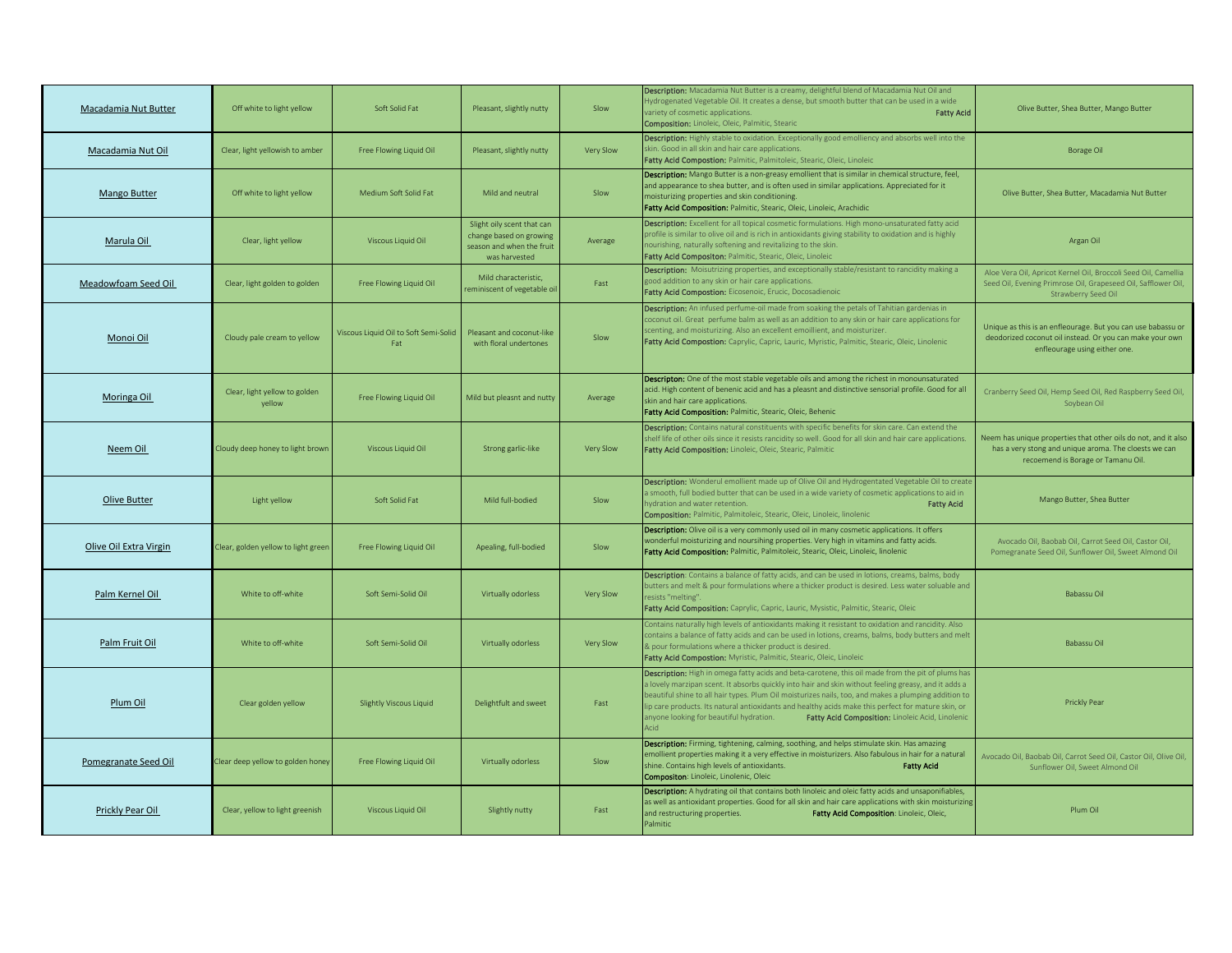| Macadamia Nut Butter   | Off white to light yellow               | Soft Solid Fat                               | Pleasant, slightly nutty                                                                            | Slow      | Description: Macadamia Nut Butter is a creamy, delightful blend of Macadamia Nut Oil and<br>Hydrogenated Vegetable Oil. It creates a dense, but smooth butter that can be used in a wide<br>ariety of cosmetic applications.<br><b>Fatty Acid</b><br>Composition: Linoleic, Oleic, Palmitic, Stearic                                                                                                                                                                                                                           | Olive Butter, Shea Butter, Mango Butter                                                                                                                       |
|------------------------|-----------------------------------------|----------------------------------------------|-----------------------------------------------------------------------------------------------------|-----------|--------------------------------------------------------------------------------------------------------------------------------------------------------------------------------------------------------------------------------------------------------------------------------------------------------------------------------------------------------------------------------------------------------------------------------------------------------------------------------------------------------------------------------|---------------------------------------------------------------------------------------------------------------------------------------------------------------|
| Macadamia Nut Oil      | Clear, light yellowish to amber         | Free Flowing Liquid Oil                      | Pleasant, slightly nutty                                                                            | Very Slow | Description: Highly stable to oxidation. Exceptionally good emolliency and absorbs well into the<br>skin. Good in all skin and hair care applications.<br>Fatty Acid Compostion: Palmitic, Palmitoleic, Stearic, Oleic, Linoleic                                                                                                                                                                                                                                                                                               | <b>Borage Oil</b>                                                                                                                                             |
| <b>Mango Butter</b>    | Off white to light yellow               | Medium Soft Solid Fat                        | Mild and neutral                                                                                    | Slow      | Description: Mango Butter is a non-greasy emollient that is similar in chemical structure, feel,<br>and appearance to shea butter, and is often used in similar applications. Appreciated for it<br>noisturizing properties and skin conditioning.<br>Fatty Acid Composition: Palmitic, Stearic, Oleic, Linoleic, Arachidic                                                                                                                                                                                                    | Olive Butter, Shea Butter, Macadamia Nut Butter                                                                                                               |
| Marula Oil             | Clear, light yellow                     | Viscous Liquid Oil                           | Slight oily scent that can<br>change based on growing<br>season and when the fruit<br>was harvested | Average   | Description: Excellent for all topical cosmetic formulations. High mono-unsaturated fatty acid<br>orofile is similar to olive oil and is rich in antioxidants giving stability to oxidation and is highly<br>nourishing, naturally softening and revitalizing to the skin.<br>Fatty Acid Compositon: Palmitic, Stearic, Oleic, Linoleic                                                                                                                                                                                        | Argan Oil                                                                                                                                                     |
| Meadowfoam Seed Oil    | Clear, light golden to golden           | Free Flowing Liquid Oil                      | Mild characteristic,<br>eminiscent of vegetable oi                                                  | Fast      | Description: Moisutrizing properties, and exceptionally stable/resistant to rancidity making a<br>good addition to any skin or hair care applications.<br>Fatty Acid Compostion: Eicosenoic, Erucic, Docosadienoic                                                                                                                                                                                                                                                                                                             | Aloe Vera Oil, Apricot Kernel Oil, Broccoli Seed Oil, Camellia<br>Seed Oil, Evening Primrose Oil, Grapeseed Oil, Safflower Oil,<br>Strawberry Seed Oil        |
| Monoi Oil              | Cloudy pale cream to yellow             | Viscous Liquid Oil to Soft Semi-Solid<br>Fat | Pleasant and coconut-like<br>with floral undertones                                                 | Slow      | Description: An infused perfume-oil made from soaking the petals of Tahitian gardenias in<br>coconut oil. Great perfume balm as well as an addition to any skin or hair care applications for<br>scenting, and moisturizing. Also an excellent emoillient, and moisturizer.<br>Fatty Acid Compostion: Caprylic, Capric, Lauric, Myristic, Palmitic, Stearic, Oleic, Linolenic                                                                                                                                                  | Unique as this is an enfleourage. But you can use babassu or<br>deodorized coconut oil instead. Or you can make your own<br>enfleourage using either one.     |
| Moringa Oil            | Clear, light yellow to golden<br>yellow | Free Flowing Liquid Oil                      | Mild but pleasnt and nutty                                                                          | Average   | Descripton: One of the most stable vegetable oils and among the richest in monounsaturated<br>acid. High content of benenic acid and has a pleasnt and distinctive sensorial profile. Good for all<br>skin and hair care applications.<br>Fatty Acid Composition: Palmitic, Stearic, Oleic, Behenic                                                                                                                                                                                                                            | Cranberry Seed Oil, Hemp Seed Oil, Red Raspberry Seed Oil,<br>Soybean Oil                                                                                     |
| Neem Oil               | Cloudy deep honey to light brown        | Viscous Liquid Oil                           | Strong garlic-like                                                                                  | Very Slow | Description: Contains natural constituents with specific benefits for skin care. Can extend the<br>shelf life of other oils since it resists rancidity so well. Good for all skin and hair care applications.<br>Fatty Acid Composition: Linoleic, Oleic, Stearic, Palmitic                                                                                                                                                                                                                                                    | Neem has unique properties that other oils do not, and it also<br>has a very stong and unique aroma. The cloests we can<br>recoemend is Borage or Tamanu Oil. |
| Olive Butter           | Light yellow                            | Soft Solid Fat                               | Mild full-bodied                                                                                    | Slow      | Description: Wonderul emollient made up of Olive Oil and Hydrogentated Vegetable Oil to create<br>smooth, full bodied butter that can be used in a wide variety of cosmetic applications to aid in<br>ydration and water retention.<br><b>Fatty Acid</b><br>Composition: Palmitic, Palmitoleic, Stearic, Oleic, Linoleic, linolenic                                                                                                                                                                                            | Mango Butter, Shea Butter                                                                                                                                     |
| Olive Oil Extra Virgin | Clear, golden yellow to light green     | Free Flowing Liquid Oil                      | Apealing, full-bodied                                                                               | Slow      | Description: Olive oil is a very commonly used oil in many cosmetic applications. It offers<br>wonderful moisturizing and noursihing properties. Very high in vitamins and fatty acids.<br>Fatty Acid Composition: Palmitic, Palmitoleic, Stearic, Oleic, Linoleic, linolenic                                                                                                                                                                                                                                                  | Avocado Oil, Baobab Oil, Carrot Seed Oil, Castor Oil,<br>Pomegranate Seed Oil, Sunflower Oil, Sweet Almond Oil                                                |
| Palm Kernel Oil        | White to off-white                      | Soft Semi-Solid Oil                          | Virtually odorless                                                                                  | Very Slow | Description: Contains a balance of fatty acids, and can be used in lotions, creams, balms, body<br>butters and melt & pour formulations where a thicker product is desired. Less water soluable and<br>esists "melting".<br>Fatty Acid Composition: Caprylic, Capric, Lauric, Mysistic, Palmitic, Stearic, Oleic                                                                                                                                                                                                               | Babassu Oil                                                                                                                                                   |
| Palm Fruit Oil         | White to off-white                      | Soft Semi-Solid Oil                          | Virtually odorless                                                                                  | Very Slow | Contains naturally high levels of antioxidants making it resistant to oxidation and rancidity. Also<br>contains a balance of fatty acids and can be used in lotions, creams, balms, body butters and melt<br>& pour formulations where a thicker product is desired.<br>Fatty Acid Compostion: Myristic, Palmitic, Stearic, Oleic, Linoleic                                                                                                                                                                                    | Babassu Oil                                                                                                                                                   |
| Plum Oil               | Clear golden yellow                     | <b>Slightly Viscous Liquid</b>               | Delightfult and sweet                                                                               | Fast      | Description: High in omega fatty acids and beta-carotene, this oil made from the pit of plums has<br>a lovely marzipan scent. It absorbs quickly into hair and skin without feeling greasy, and it adds a<br>beautiful shine to all hair types. Plum Oil moisturizes nails, too, and makes a plumping addition to<br>ip care products. Its natural antioxidants and healthy acids make this perfect for mature skin, or<br>anyone looking for beautiful hydration.<br>Fatty Acid Composition: Linoleic Acid, Linolenic<br>Acid | Prickly Pear                                                                                                                                                  |
| Pomegranate Seed Oil   | Clear deep yellow to golden honey       | Free Flowing Liquid Oil                      | Virtually odorless                                                                                  | Slow      | <b>Description:</b> Firming, tightening, calming, soothing, and helps stimulate skin. Has amazing<br>emollient properties making it a very effective in moisturizers. Also fabulous in hair for a natural<br>shine. Contains high levels of antioxidants.<br><b>Fatty Acid</b><br><b>Compositon:</b> Linoleic, Linolenic, Oleic                                                                                                                                                                                                | Avocado Oil, Baobab Oil, Carrot Seed Oil, Castor Oil, Olive Oil,<br>Sunflower Oil, Sweet Almond Oil                                                           |
| Prickly Pear Oil       | Clear, yellow to light greenish         | <b>Viscous Liquid Oil</b>                    | Slightly nutty                                                                                      | Fast      | Description: A hydrating oil that contains both linoleic and oleic fatty acids and unsaponifiables,<br>as well as antioxidant properties. Good for all skin and hair care applications with skin moisturizing<br>Fatty Acid Composition: Linoleic, Oleic,<br>and restructuring properties.<br>almitic                                                                                                                                                                                                                          | Plum Oil                                                                                                                                                      |